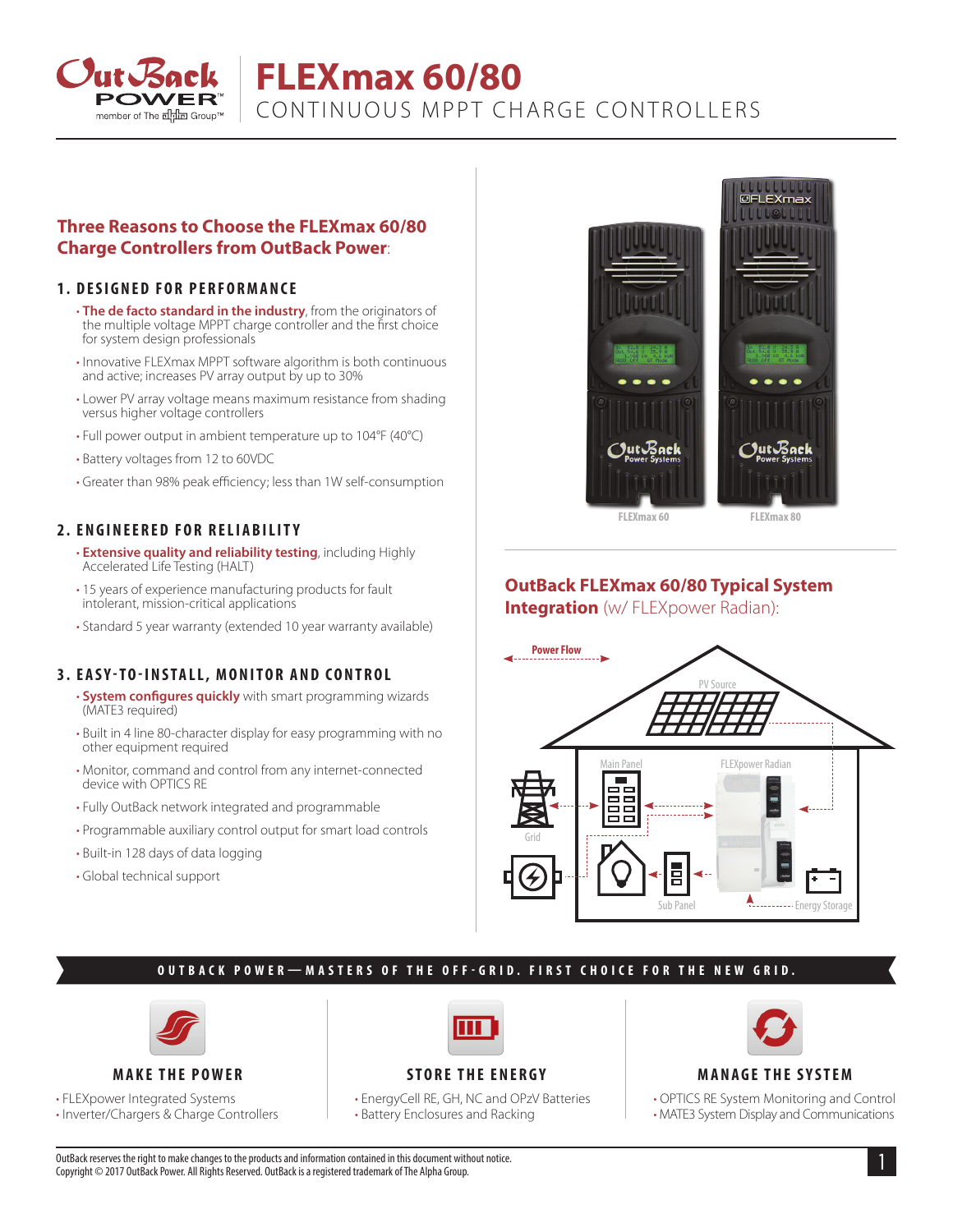

# **FLEXmax 60/80**

CONTINUOUS MPPT CHARGE CONTROLLERS

## **Three Reasons to Choose the FLEXmax 60/80 Charge Controllers from OutBack Power**:

#### **1. DESIGNED FOR PERFORMANCE**

- **The de facto standard in the industry**, from the originators of the multiple voltage MPPT charge controller and the first choice for system design professionals
- Innovative FLEXmax MPPT software algorithm is both continuous and active; increases PV array output by up to 30%
- Lower PV array voltage means maximum resistance from shading versus higher voltage controllers
- Full power output in ambient temperature up to 104°F (40°C)
- Battery voltages from 12 to 60VDC
- Greater than 98% peak efficiency; less than 1W self-consumption

## **2. ENGINEERED FOR RELIABILITY**

- **Extensive quality and reliability testing**, including Highly Accelerated Life Testing (HALT)
- 15 years of experience manufacturing products for fault intolerant, mission-critical applications
- Standard 5 year warranty (extended 10 year warranty available)

## **3. EASY-TO-INSTALL, MONITOR AND CONTROL**

- **System configures quickly** with smart programming wizards (MATE3 required)
- Built in 4 line 80-character display for easy programming with no other equipment required
- Monitor, command and control from any internet-connected device with OPTICS RE
- Fully OutBack network integrated and programmable
- Programmable auxiliary control output for smart load controls
- Built-in 128 days of data logging
- Global technical support



**FLEXmax 60 FLEXmax 80**

# **OutBack FLEXmax 60/80 Typical System**

**Integration** (w/FLEXpower Radian):



# **OUTBACK POWER—MASTERS OF THE OFF-GRID. FIRST CHOICE FOR THE NEW GRID.**



**MAKE THE POWER**

• FLEXpower Integrated Systems

• Inverter/Chargers & Charge Controllers



## **STORE THE ENERGY**

• EnergyCell RE, GH, NC and OPzV Batteries • Battery Enclosures and Racking



## **MANAGE THE SYSTEM**

• OPTICS RE System Monitoring and Control • MATE3 System Display and Communications

1 OutBack reserves the right to make changes to the products and information contained in this document without notice. Copyright © 2017 OutBack Power. All Rights Reserved. OutBack is a registered trademark of The Alpha Group.